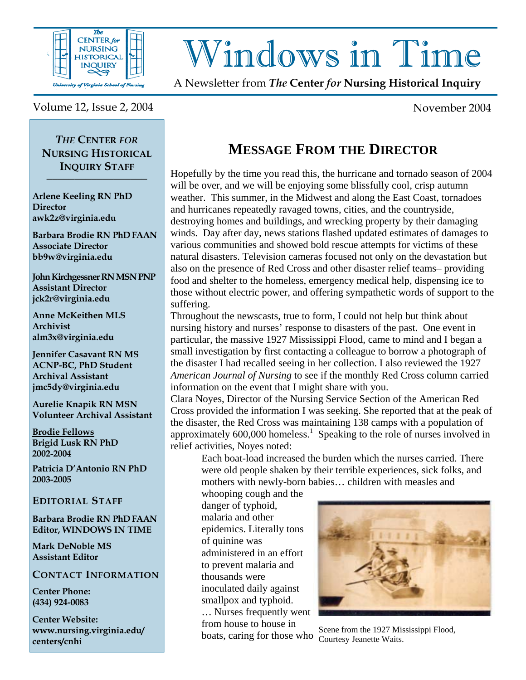

# Windows in Time

A Newsletter from *The* **Center** *for* **Nursing Historical Inquiry** 

Volume 12, Issue 2, 2004 November 2004

*THE* **CENTER** *FOR* **NURSING HISTORICAL INQUIRY STAFF \_\_\_\_\_\_\_\_\_\_\_\_\_\_\_\_\_\_** 

**Arlene Keeling RN PhD Director awk2z@virginia.edu** 

**Barbara Brodie RN PhD FAAN Associate Director bb9w@virginia.edu** 

**John Kirchgessner RN MSN PNP Assistant Director jck2r@virginia.edu** 

**Anne McKeithen MLS Archivist alm3x@virginia.edu** 

**Jennifer Casavant RN MS ACNP-BC, PhD Student Archival Assistant jmc5dy@virginia.edu** 

**Aurelie Knapik RN MSN Volunteer Archival Assistant** 

**Brodie Fellows Brigid Lusk RN PhD 2002-2004** 

**Patricia D'Antonio RN PhD 2003-2005** 

#### **EDITORIAL STAFF**

**Barbara Brodie RN PhD FAAN Editor, WINDOWS IN TIME** 

**Mark DeNoble MS Assistant Editor**

#### **CONTACT INFORMATION**

**Center Phone: (434) 924-0083** 

**Center Website: www.nursing.virginia.edu/ centers/cnhi**

## **MESSAGE FROM THE DIRECTOR**

Hopefully by the time you read this, the hurricane and tornado season of 2004 will be over, and we will be enjoying some blissfully cool, crisp autumn weather. This summer, in the Midwest and along the East Coast, tornadoes and hurricanes repeatedly ravaged towns, cities, and the countryside, destroying homes and buildings, and wrecking property by their damaging winds. Day after day, news stations flashed updated estimates of damages to various communities and showed bold rescue attempts for victims of these natural disasters. Television cameras focused not only on the devastation but also on the presence of Red Cross and other disaster relief teams– providing food and shelter to the homeless, emergency medical help, dispensing ice to those without electric power, and offering sympathetic words of support to the suffering.

Throughout the newscasts, true to form, I could not help but think about nursing history and nurses' response to disasters of the past. One event in particular, the massive 1927 Mississippi Flood, came to mind and I began a small investigation by first contacting a colleague to borrow a photograph of the disaster I had recalled seeing in her collection. I also reviewed the 1927 *American Journal of Nursing* to see if the monthly Red Cross column carried information on the event that I might share with you.

Clara Noyes, Director of the Nursing Service Section of the American Red Cross provided the information I was seeking. She reported that at the peak of the disaster, the Red Cross was maintaining 138 camps with a population of approximately  $600,000$  homeless.<sup>1</sup> Speaking to the role of nurses involved in relief activities, Noyes noted:

Each boat-load increased the burden which the nurses carried. There were old people shaken by their terrible experiences, sick folks, and mothers with newly-born babies… children with measles and

whooping cough and the danger of typhoid, malaria and other epidemics. Literally tons of quinine was administered in an effort to prevent malaria and thousands were inoculated daily against smallpox and typhoid. … Nurses frequently went from house to house in



hoats, caring for those who Scene from the 1927 Mississippi Flood, boats, caring for those who Courtesy Jeanette Waits.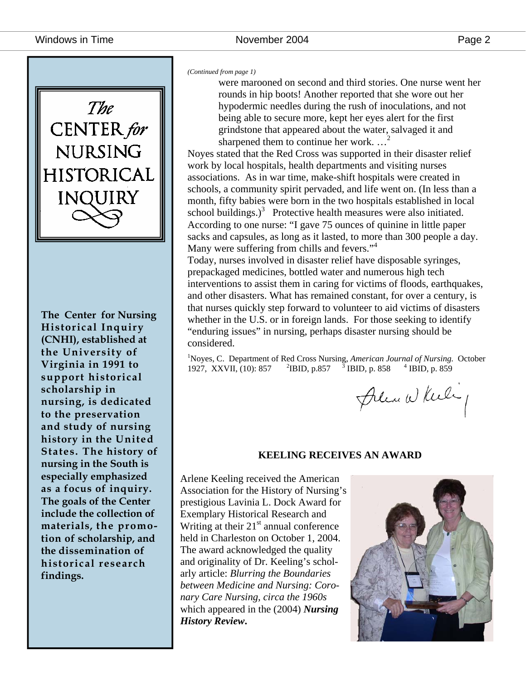

**The Center for Nursing Historical Inquiry (CNHI), established at the University of Virginia in 1991 to support historical scholarship in nursing, is dedicated to the preservation and study of nursing history in the United States. The history of nursing in the South is especially emphasized as a focus of inquiry. The goals of the Center include the collection of materials, the promotion of scholarship, and the dissemination of historical research findings.** 

*(Continued from page 1)* 

were marooned on second and third stories. One nurse went her rounds in hip boots! Another reported that she wore out her hypodermic needles during the rush of inoculations, and not being able to secure more, kept her eyes alert for the first grindstone that appeared about the water, salvaged it and sharpened them to continue her work. ...

Noyes stated that the Red Cross was supported in their disaster relief work by local hospitals, health departments and visiting nurses associations. As in war time, make-shift hospitals were created in schools, a community spirit pervaded, and life went on. (In less than a month, fifty babies were born in the two hospitals established in local school buildings.)<sup>3</sup> Protective health measures were also initiated. According to one nurse: "I gave 75 ounces of quinine in little paper sacks and capsules, as long as it lasted, to more than 300 people a day. Many were suffering from chills and fevers."<sup>4</sup>

Today, nurses involved in disaster relief have disposable syringes, prepackaged medicines, bottled water and numerous high tech interventions to assist them in caring for victims of floods, earthquakes, and other disasters. What has remained constant, for over a century, is that nurses quickly step forward to volunteer to aid victims of disasters whether in the U.S. or in foreign lands. For those seeking to identify "enduring issues" in nursing, perhaps disaster nursing should be considered.

<sup>1</sup>Noyes, C. Department of Red Cross Nursing, *American Journal of Nursing.* October 1927, XXVII, (10): 857 <sup>2</sup> <sup>2</sup>IBID, p.857 <sup>3</sup> IBID, p. 858  $4$  IBID, p. 859

Plea While

#### **KEELING RECEIVES AN AWARD**

Arlene Keeling received the American Association for the History of Nursing's prestigious Lavinia L. Dock Award for Exemplary Historical Research and Writing at their  $21<sup>st</sup>$  annual conference held in Charleston on October 1, 2004. The award acknowledged the quality and originality of Dr. Keeling's scholarly article: *Blurring the Boundaries between Medicine and Nursing: Coronary Care Nursing, circa the 1960s*  which appeared in the (2004) *Nursing History Review***.**

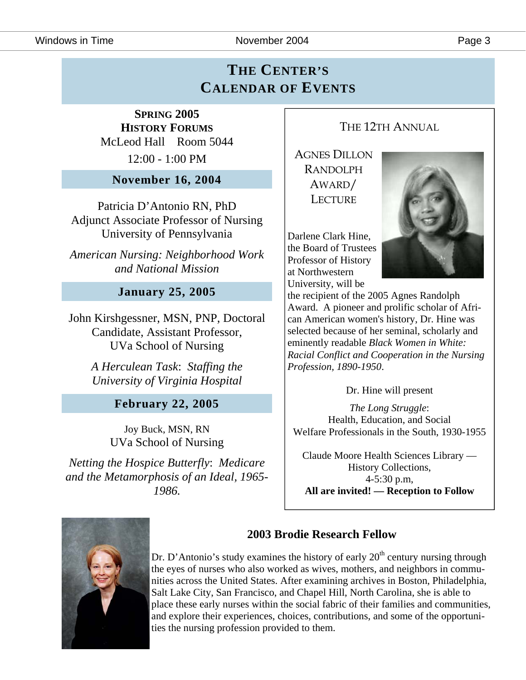Windows in Time **November 2004** Page 3

## **THE CENTER'S CALENDAR OF EVENTS**

**SPRING 2005 HISTORY FORUMS** McLeod Hall Room 5044 12:00 - 1:00 PM

**November 16, 2004** 

Patricia D'Antonio RN, PhD Adjunct Associate Professor of Nursing University of Pennsylvania

*American Nursing: Neighborhood Work and National Mission* 

#### **January 25, 2005**

John Kirshgessner, MSN, PNP, Doctoral Candidate, Assistant Professor, UVa School of Nursing

> *A Herculean Task*: *Staffing the University of Virginia Hospital*

> > **February 22, 2005**

Joy Buck, MSN, RN UVa School of Nursing

*Netting the Hospice Butterfly*: *Medicare and the Metamorphosis of an Ideal, 1965- 1986.* 

## THE 12TH ANNUAL

AGNES DILLON RANDOLPH AWARD/ **LECTURE** 

Darlene Clark Hine, the Board of Trustees Professor of History at Northwestern University, will be



the recipient of the 2005 Agnes Randolph Award. A pioneer and prolific scholar of African American women's history, Dr. Hine was selected because of her seminal, scholarly and eminently readable *Black Women in White: Racial Conflict and Cooperation in the Nursing Profession, 1890-1950*.

Dr. Hine will present

*The Long Struggle*: Health, Education, and Social Welfare Professionals in the South, 1930-1955

Claude Moore Health Sciences Library — History Collections, 4-5:30 p.m, **All are invited! — Reception to Follow**



#### **2003 Brodie Research Fellow**

Dr. D'Antonio's study examines the history of early  $20<sup>th</sup>$  century nursing through the eyes of nurses who also worked as wives, mothers, and neighbors in communities across the United States. After examining archives in Boston, Philadelphia, Salt Lake City, San Francisco, and Chapel Hill, North Carolina, she is able to place these early nurses within the social fabric of their families and communities, and explore their experiences, choices, contributions, and some of the opportunities the nursing profession provided to them.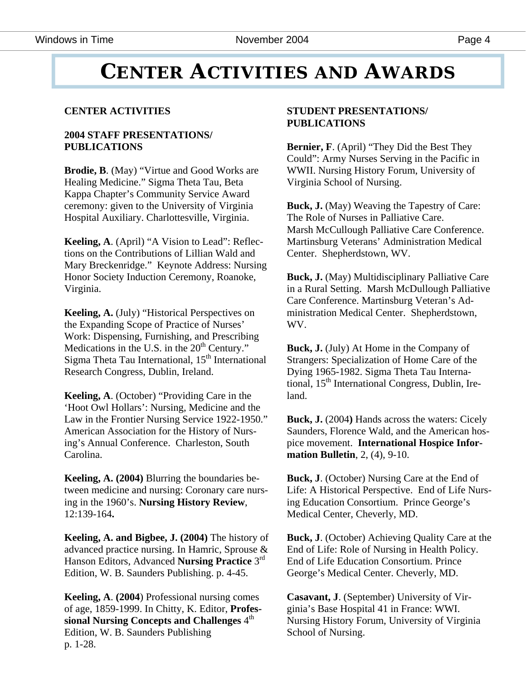## **CENTER ACTIVITIES AND AWARDS**

#### **CENTER ACTIVITIES**

#### **2004 STAFF PRESENTATIONS/ PUBLICATIONS**

**Brodie, B**. (May) "Virtue and Good Works are Healing Medicine." Sigma Theta Tau, Beta Kappa Chapter's Community Service Award ceremony: given to the University of Virginia Hospital Auxiliary. Charlottesville, Virginia.

**Keeling, A**. (April) "A Vision to Lead": Reflections on the Contributions of Lillian Wald and Mary Breckenridge." Keynote Address: Nursing Honor Society Induction Ceremony, Roanoke, Virginia.

**Keeling, A.** (July) "Historical Perspectives on the Expanding Scope of Practice of Nurses' Work: Dispensing, Furnishing, and Prescribing Medications in the U.S. in the  $20<sup>th</sup>$  Century." Sigma Theta Tau International,  $15<sup>th</sup>$  International Research Congress, Dublin, Ireland.

**Keeling, A**. (October) "Providing Care in the 'Hoot Owl Hollars': Nursing, Medicine and the Law in the Frontier Nursing Service 1922-1950." American Association for the History of Nursing's Annual Conference. Charleston, South Carolina.

**Keeling, A. (2004)** Blurring the boundaries between medicine and nursing: Coronary care nursing in the 1960's. **Nursing History Review**, 12:139-164**.** 

**Keeling, A. and Bigbee, J. (2004)** The history of advanced practice nursing. In Hamric, Sprouse & Hanson Editors, Advanced **Nursing Practice** 3rd Edition, W. B. Saunders Publishing. p. 4-45.

**Keeling, A**. **(2004**) Professional nursing comes of age, 1859-1999. In Chitty, K. Editor, **Profes**sional Nursing Concepts and Challenges  $4<sup>th</sup>$ Edition, W. B. Saunders Publishing p. 1-28.

#### **STUDENT PRESENTATIONS/ PUBLICATIONS**

**Bernier, F**. (April) "They Did the Best They Could": Army Nurses Serving in the Pacific in WWII. Nursing History Forum, University of Virginia School of Nursing.

**Buck, J.** (May) Weaving the Tapestry of Care: The Role of Nurses in Palliative Care. Marsh McCullough Palliative Care Conference. Martinsburg Veterans' Administration Medical Center. Shepherdstown, WV.

**Buck, J.** (May) Multidisciplinary Palliative Care in a Rural Setting. Marsh McDullough Palliative Care Conference. Martinsburg Veteran's Administration Medical Center. Shepherdstown, WV.

**Buck, J.** (July) At Home in the Company of Strangers: Specialization of Home Care of the Dying 1965-1982. Sigma Theta Tau International,  $15<sup>th</sup>$  International Congress, Dublin, Ireland.

**Buck, J.** (2004**)** Hands across the waters: Cicely Saunders, Florence Wald, and the American hospice movement. **International Hospice Information Bulletin**, 2, (4), 9-10.

**Buck, J**. (October) Nursing Care at the End of Life: A Historical Perspective. End of Life Nursing Education Consortium. Prince George's Medical Center, Cheverly, MD.

**Buck, J**. (October) Achieving Quality Care at the End of Life: Role of Nursing in Health Policy. End of Life Education Consortium. Prince George's Medical Center. Cheverly, MD.

**Casavant, J**. (September) University of Virginia's Base Hospital 41 in France: WWI. Nursing History Forum, University of Virginia School of Nursing.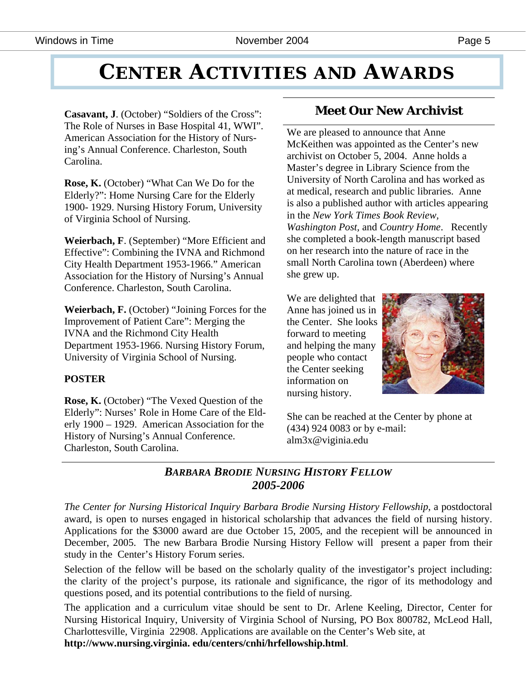## **CENTER ACTIVITIES AND AWARDS**

**Casavant, J**. (October) "Soldiers of the Cross": The Role of Nurses in Base Hospital 41, WWI". American Association for the History of Nursing's Annual Conference. Charleston, South Carolina.

**Rose, K.** (October) "What Can We Do for the Elderly?": Home Nursing Care for the Elderly 1900- 1929. Nursing History Forum, University of Virginia School of Nursing.

**Weierbach, F**. (September) "More Efficient and Effective": Combining the IVNA and Richmond City Health Department 1953-1966." American Association for the History of Nursing's Annual Conference. Charleston, South Carolina.

**Weierbach, F.** (October) "Joining Forces for the Improvement of Patient Care": Merging the IVNA and the Richmond City Health Department 1953-1966. Nursing History Forum, University of Virginia School of Nursing.

#### **POSTER**

**Rose, K.** (October) "The Vexed Question of the Elderly": Nurses' Role in Home Care of the Elderly 1900 – 1929. American Association for the History of Nursing's Annual Conference. Charleston, South Carolina.

## **Meet Our New Archivist**

We are pleased to announce that Anne McKeithen was appointed as the Center's new archivist on October 5, 2004. Anne holds a Master's degree in Library Science from the University of North Carolina and has worked as at medical, research and public libraries. Anne is also a published author with articles appearing in the *New York Times Book Review, Washington Post,* and *Country Home*. Recently she completed a book-length manuscript based on her research into the nature of race in the small North Carolina town (Aberdeen) where she grew up.

We are delighted that Anne has joined us in the Center. She looks forward to meeting and helping the many people who contact the Center seeking information on nursing history.



She can be reached at the Center by phone at (434) 924 0083 or by e-mail: alm3x@viginia.edu

#### *BARBARA BRODIE NURSING HISTORY FELLOW 2005-2006*

*The Center for Nursing Historical Inquiry Barbara Brodie Nursing History Fellowship*, a postdoctoral award, is open to nurses engaged in historical scholarship that advances the field of nursing history. Applications for the \$3000 award are due October 15, 2005, and the recepient will be announced in December, 2005. The new Barbara Brodie Nursing History Fellow will present a paper from their study in the Center's History Forum series.

Selection of the fellow will be based on the scholarly quality of the investigator's project including: the clarity of the project's purpose, its rationale and significance, the rigor of its methodology and questions posed, and its potential contributions to the field of nursing.

The application and a curriculum vitae should be sent to Dr. Arlene Keeling, Director, Center for Nursing Historical Inquiry, University of Virginia School of Nursing, PO Box 800782, McLeod Hall, Charlottesville, Virginia 22908. Applications are available on the Center's Web site, at **http://www.nursing.virginia. edu/centers/cnhi/hrfellowship.html**.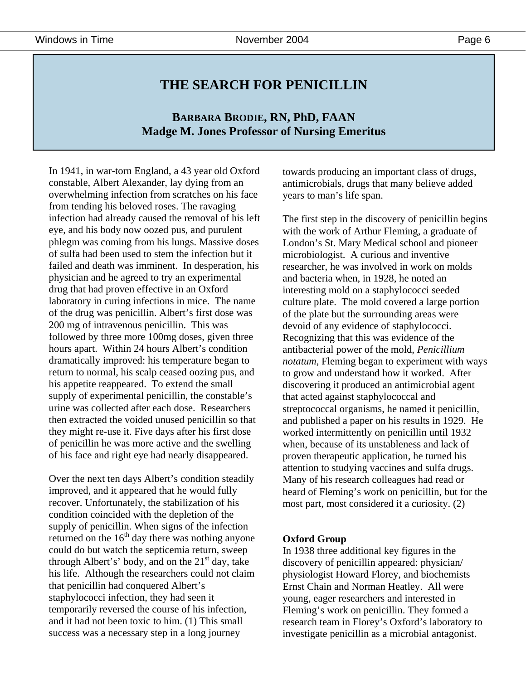### **THE SEARCH FOR PENICILLIN**

#### **BARBARA BRODIE, RN, PhD, FAAN Madge M. Jones Professor of Nursing Emeritus**

In 1941, in war-torn England, a 43 year old Oxford constable, Albert Alexander, lay dying from an overwhelming infection from scratches on his face from tending his beloved roses. The ravaging infection had already caused the removal of his left eye, and his body now oozed pus, and purulent phlegm was coming from his lungs. Massive doses of sulfa had been used to stem the infection but it failed and death was imminent. In desperation, his physician and he agreed to try an experimental drug that had proven effective in an Oxford laboratory in curing infections in mice. The name of the drug was penicillin. Albert's first dose was 200 mg of intravenous penicillin. This was followed by three more 100mg doses, given three hours apart. Within 24 hours Albert's condition dramatically improved: his temperature began to return to normal, his scalp ceased oozing pus, and his appetite reappeared. To extend the small supply of experimental penicillin, the constable's urine was collected after each dose. Researchers then extracted the voided unused penicillin so that they might re-use it. Five days after his first dose of penicillin he was more active and the swelling of his face and right eye had nearly disappeared.

Over the next ten days Albert's condition steadily improved, and it appeared that he would fully recover. Unfortunately, the stabilization of his condition coincided with the depletion of the supply of penicillin. When signs of the infection returned on the  $16<sup>th</sup>$  day there was nothing anyone could do but watch the septicemia return, sweep through Albert's' body, and on the  $21<sup>st</sup>$  day, take his life. Although the researchers could not claim that penicillin had conquered Albert's staphylococci infection, they had seen it temporarily reversed the course of his infection, and it had not been toxic to him. (1) This small success was a necessary step in a long journey

towards producing an important class of drugs, antimicrobials, drugs that many believe added years to man's life span.

The first step in the discovery of penicillin begins with the work of Arthur Fleming, a graduate of London's St. Mary Medical school and pioneer microbiologist. A curious and inventive researcher, he was involved in work on molds and bacteria when, in 1928, he noted an interesting mold on a staphylococci seeded culture plate. The mold covered a large portion of the plate but the surrounding areas were devoid of any evidence of staphylococci. Recognizing that this was evidence of the antibacterial power of the mold, *Penicillium notatum*, Fleming began to experiment with ways to grow and understand how it worked. After discovering it produced an antimicrobial agent that acted against staphylococcal and streptococcal organisms, he named it penicillin, and published a paper on his results in 1929. He worked intermittently on penicillin until 1932 when, because of its unstableness and lack of proven therapeutic application, he turned his attention to studying vaccines and sulfa drugs. Many of his research colleagues had read or heard of Fleming's work on penicillin, but for the most part, most considered it a curiosity. (2)

#### **Oxford Group**

In 1938 three additional key figures in the discovery of penicillin appeared: physician/ physiologist Howard Florey, and biochemists Ernst Chain and Norman Heatley. All were young, eager researchers and interested in Fleming's work on penicillin. They formed a research team in Florey's Oxford's laboratory to investigate penicillin as a microbial antagonist.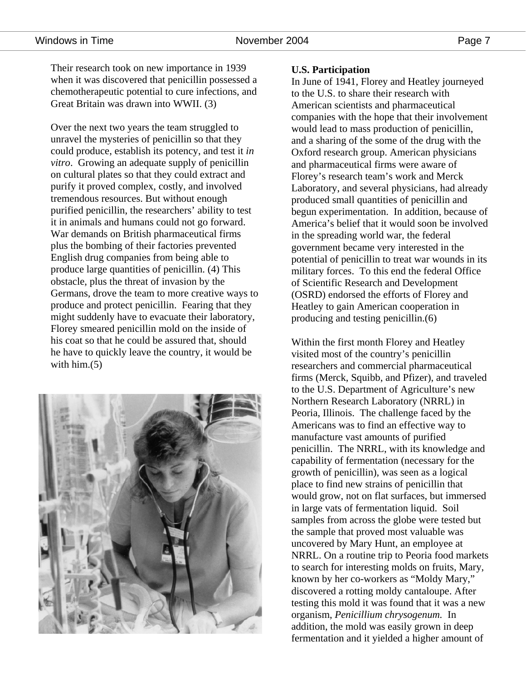Their research took on new importance in 1939 when it was discovered that penicillin possessed a chemotherapeutic potential to cure infections, and Great Britain was drawn into WWII. (3)

Over the next two years the team struggled to unravel the mysteries of penicillin so that they could produce, establish its potency, and test it *in vitro*. Growing an adequate supply of penicillin on cultural plates so that they could extract and purify it proved complex, costly, and involved tremendous resources. But without enough purified penicillin, the researchers' ability to test it in animals and humans could not go forward. War demands on British pharmaceutical firms plus the bombing of their factories prevented English drug companies from being able to produce large quantities of penicillin. (4) This obstacle, plus the threat of invasion by the Germans, drove the team to more creative ways to produce and protect penicillin. Fearing that they might suddenly have to evacuate their laboratory, Florey smeared penicillin mold on the inside of his coat so that he could be assured that, should he have to quickly leave the country, it would be with him.<sup>(5)</sup>



#### **U.S. Participation**

In June of 1941, Florey and Heatley journeyed to the U.S. to share their research with American scientists and pharmaceutical companies with the hope that their involvement would lead to mass production of penicillin, and a sharing of the some of the drug with the Oxford research group. American physicians and pharmaceutical firms were aware of Florey's research team's work and Merck Laboratory, and several physicians, had already produced small quantities of penicillin and begun experimentation. In addition, because of America's belief that it would soon be involved in the spreading world war, the federal government became very interested in the potential of penicillin to treat war wounds in its military forces. To this end the federal Office of Scientific Research and Development (OSRD) endorsed the efforts of Florey and Heatley to gain American cooperation in producing and testing penicillin.(6)

Within the first month Florey and Heatley visited most of the country's penicillin researchers and commercial pharmaceutical firms (Merck, Squibb, and Pfizer), and traveled to the U.S. Department of Agriculture's new Northern Research Laboratory (NRRL) in Peoria, Illinois. The challenge faced by the Americans was to find an effective way to manufacture vast amounts of purified penicillin. The NRRL, with its knowledge and capability of fermentation (necessary for the growth of penicillin), was seen as a logical place to find new strains of penicillin that would grow, not on flat surfaces, but immersed in large vats of fermentation liquid. Soil samples from across the globe were tested but the sample that proved most valuable was uncovered by Mary Hunt, an employee at NRRL. On a routine trip to Peoria food markets to search for interesting molds on fruits, Mary, known by her co-workers as "Moldy Mary," discovered a rotting moldy cantaloupe. After testing this mold it was found that it was a new organism, *Penicillium chrysogenum.* In addition, the mold was easily grown in deep fermentation and it yielded a higher amount of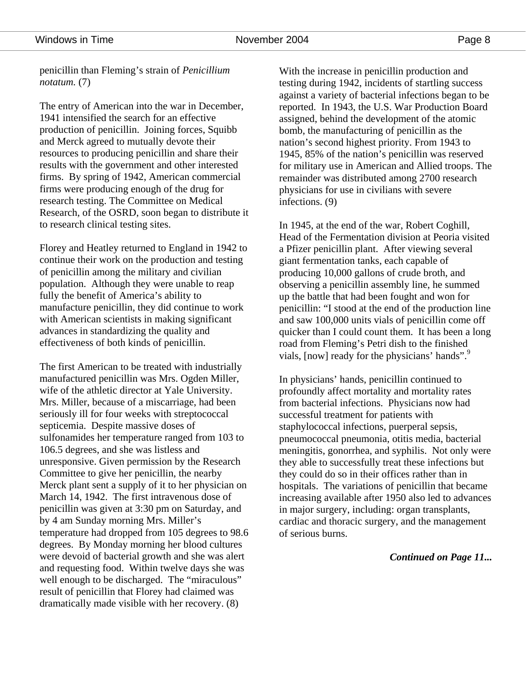penicillin than Fleming's strain of *Penicillium notatum.* (7)

The entry of American into the war in December, 1941 intensified the search for an effective production of penicillin. Joining forces, Squibb and Merck agreed to mutually devote their resources to producing penicillin and share their results with the government and other interested firms. By spring of 1942, American commercial firms were producing enough of the drug for research testing. The Committee on Medical Research, of the OSRD, soon began to distribute it to research clinical testing sites.

Florey and Heatley returned to England in 1942 to continue their work on the production and testing of penicillin among the military and civilian population. Although they were unable to reap fully the benefit of America's ability to manufacture penicillin, they did continue to work with American scientists in making significant advances in standardizing the quality and effectiveness of both kinds of penicillin.

The first American to be treated with industrially manufactured penicillin was Mrs. Ogden Miller, wife of the athletic director at Yale University. Mrs. Miller, because of a miscarriage, had been seriously ill for four weeks with streptococcal septicemia. Despite massive doses of sulfonamides her temperature ranged from 103 to 106.5 degrees, and she was listless and unresponsive. Given permission by the Research Committee to give her penicillin, the nearby Merck plant sent a supply of it to her physician on March 14, 1942. The first intravenous dose of penicillin was given at 3:30 pm on Saturday, and by 4 am Sunday morning Mrs. Miller's temperature had dropped from 105 degrees to 98.6 degrees. By Monday morning her blood cultures were devoid of bacterial growth and she was alert and requesting food. Within twelve days she was well enough to be discharged. The "miraculous" result of penicillin that Florey had claimed was dramatically made visible with her recovery. (8)

With the increase in penicillin production and testing during 1942, incidents of startling success against a variety of bacterial infections began to be reported. In 1943, the U.S. War Production Board assigned, behind the development of the atomic bomb, the manufacturing of penicillin as the nation's second highest priority. From 1943 to 1945, 85% of the nation's penicillin was reserved for military use in American and Allied troops. The remainder was distributed among 2700 research physicians for use in civilians with severe infections. (9)

In 1945, at the end of the war, Robert Coghill, Head of the Fermentation division at Peoria visited a Pfizer penicillin plant. After viewing several giant fermentation tanks, each capable of producing 10,000 gallons of crude broth, and observing a penicillin assembly line, he summed up the battle that had been fought and won for penicillin: "I stood at the end of the production line and saw 100,000 units vials of penicillin come off quicker than I could count them. It has been a long road from Fleming's Petri dish to the finished vials, [now] ready for the physicians' hands".<sup>9</sup>

In physicians' hands, penicillin continued to profoundly affect mortality and mortality rates from bacterial infections. Physicians now had successful treatment for patients with staphylococcal infections, puerperal sepsis, pneumococcal pneumonia, otitis media, bacterial meningitis, gonorrhea, and syphilis. Not only were they able to successfully treat these infections but they could do so in their offices rather than in hospitals. The variations of penicillin that became increasing available after 1950 also led to advances in major surgery, including: organ transplants, cardiac and thoracic surgery, and the management of serious burns.

#### *Continued on Page 11...*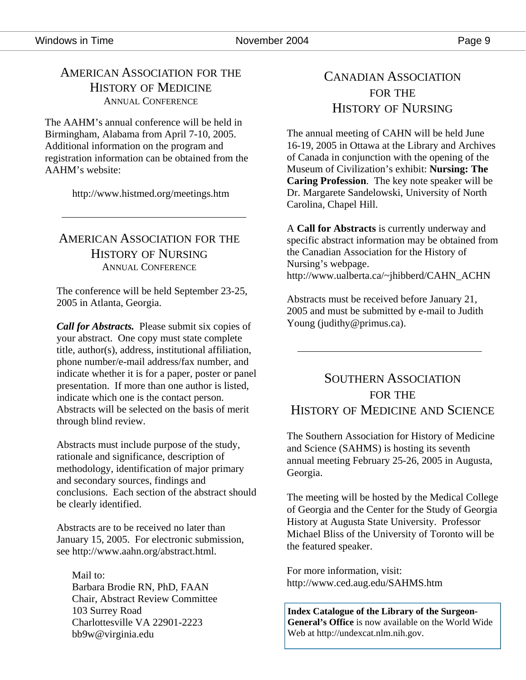### AMERICAN ASSOCIATION FOR THE HISTORY OF MEDICINE ANNUAL CONFERENCE

The AAHM's annual conference will be held in Birmingham, Alabama from April 7-10, 2005. Additional information on the program and registration information can be obtained from the AAHM's website:

http://www.histmed.org/meetings.htm

### AMERICAN ASSOCIATION FOR THE HISTORY OF NURSING ANNUAL CONFERENCE

The conference will be held September 23-25, 2005 in Atlanta, Georgia.

*Call for Abstracts.* Please submit six copies of your abstract. One copy must state complete title, author(s), address, institutional affiliation, phone number/e-mail address/fax number, and indicate whether it is for a paper, poster or panel presentation. If more than one author is listed, indicate which one is the contact person. Abstracts will be selected on the basis of merit through blind review.

Abstracts must include purpose of the study, rationale and significance, description of methodology, identification of major primary and secondary sources, findings and conclusions. Each section of the abstract should be clearly identified.

Abstracts are to be received no later than January 15, 2005. For electronic submission, see http://www.aahn.org/abstract.html.

 Mail to: Barbara Brodie RN, PhD, FAAN Chair, Abstract Review Committee 103 Surrey Road Charlottesville VA 22901-2223 bb9w@virginia.edu

## CANADIAN ASSOCIATION FOR THE HISTORY OF NURSING

The annual meeting of CAHN will be held June 16-19, 2005 in Ottawa at the Library and Archives of Canada in conjunction with the opening of the Museum of Civilization's exhibit: **Nursing: The Caring Profession**. The key note speaker will be Dr. Margarete Sandelowski, University of North Carolina, Chapel Hill.

A **Call for Abstracts** is currently underway and specific abstract information may be obtained from the Canadian Association for the History of Nursing's webpage. http://www.ualberta.ca/~jhibberd/CAHN\_ACHN

Abstracts must be received before January 21, 2005 and must be submitted by e-mail to Judith Young (judithy@primus.ca).

### SOUTHERN ASSOCIATION FOR THE HISTORY OF MEDICINE AND SCIENCE

The Southern Association for History of Medicine and Science (SAHMS) is hosting its seventh annual meeting February 25-26, 2005 in Augusta, Georgia.

The meeting will be hosted by the Medical College of Georgia and the Center for the Study of Georgia History at Augusta State University. Professor Michael Bliss of the University of Toronto will be the featured speaker.

For more information, visit: http://www.ced.aug.edu/SAHMS.htm

**Index Catalogue of the Library of the Surgeon-General's Office** is now available on the World Wide Web at http://undexcat.nlm.nih.gov.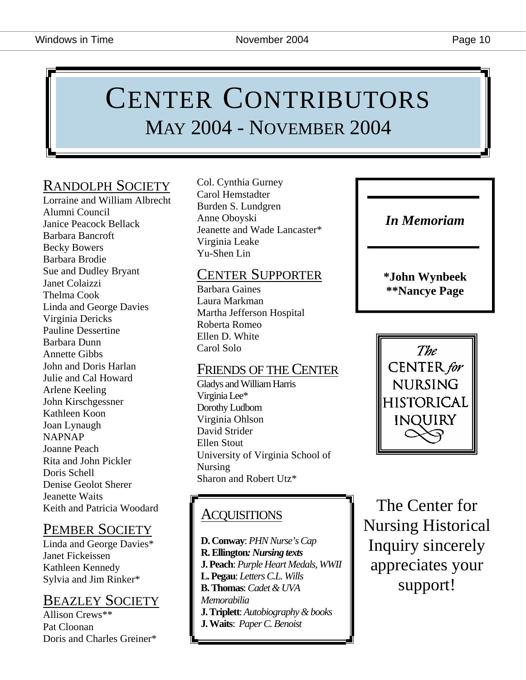## CENTER CONTRIBUTORS MAY 2004 - NOVEMBER 2004

## RANDOLPH SOCIETY

Lorraine and William Albrecht Alumni Council Janice Peacock Bellack Barbara Bancroft Becky Bowers Barbara Brodie Sue and Dudley Bryant Janet Colaizzi Thelma Cook Linda and George Davies Virginia Dericks Pauline Dessertine Barbara Dunn Annette Gibbs John and Doris Harlan Julie and Cal Howard Arlene Keeling John Kirschgessner Kathleen Koon Joan Lynaugh NAPNAP Joanne Peach Rita and John Pickler Doris Schell Denise Geolot Sherer Jeanette Waits Keith and Patricia Woodard

## PEMBER SOCIETY

Linda and George Davies\* Janet Fickeissen Kathleen Kennedy Sylvia and Jim Rinker\*

## BEAZLEY SOCIETY

Allison Crews\*\* Pat Cloonan Doris and Charles Greiner\* Col. Cynthia Gurney Carol Hemstadter Burden S. Lundgren Anne Oboyski Jeanette and Wade Lancaster\* Virginia Leake Yu-Shen Lin

## CENTER SUPPORTER

Barbara Gaines Laura Markman Martha Jefferson Hospital Roberta Romeo Ellen D. White Carol Solo

## FRIENDS OF THE CENTER

Gladys and William Harris Virginia Lee\* Dorothy Ludbom Virginia Ohlson David Strider Ellen Stout University of Virginia School of Nursing Sharon and Robert Utz\*

## **ACQUISITIONS**

**D. Conway**: *PHN Nurse's Cap*  **R. Ellington***: Nursing texts*  **J. Peach**: *Purple Heart Medals, WWII* **L. Pegau**: *Letters C.L. Wills* **B. Thomas**: *Cadet & UVA Memorabilia*  **J. Triplett**: *Autobiography & books* **J. Waits**: *Paper C. Benoist*

*In Memoriam* 

**\*John Wynbeek \*\*Nancye Page** 



The Center for Nursing Historical Inquiry sincerely appreciates your support!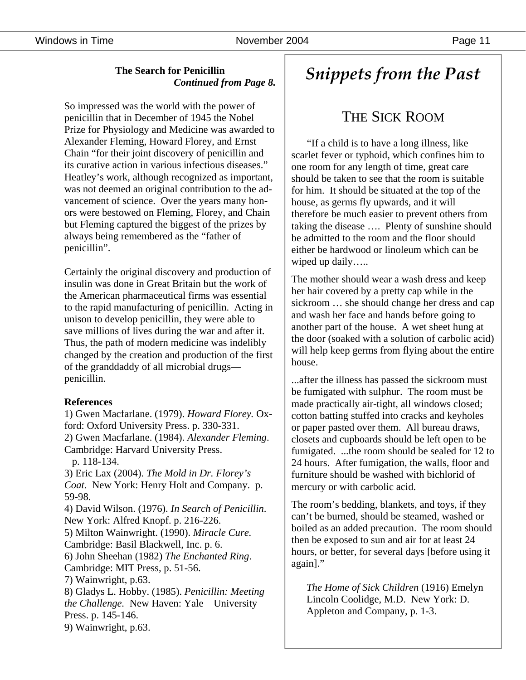Windows in Time **November 2004** Page 11

#### **The Search for Penicillin**  *Continued from Page 8.*

So impressed was the world with the power of penicillin that in December of 1945 the Nobel Prize for Physiology and Medicine was awarded to Alexander Fleming, Howard Florey, and Ernst Chain "for their joint discovery of penicillin and its curative action in various infectious diseases." Heatley's work, although recognized as important, was not deemed an original contribution to the advancement of science. Over the years many honors were bestowed on Fleming, Florey, and Chain but Fleming captured the biggest of the prizes by always being remembered as the "father of penicillin".

Certainly the original discovery and production of insulin was done in Great Britain but the work of the American pharmaceutical firms was essential to the rapid manufacturing of penicillin. Acting in unison to develop penicillin, they were able to save millions of lives during the war and after it. Thus, the path of modern medicine was indelibly changed by the creation and production of the first of the granddaddy of all microbial drugs penicillin.

#### **References**

1) Gwen Macfarlane. (1979). *Howard Florey.* Oxford: Oxford University Press. p. 330-331. 2) Gwen Macfarlane. (1984). *Alexander Fleming*. Cambridge: Harvard University Press. p. 118-134. 3) Eric Lax (2004). *The Mold in Dr. Florey's Coat.* New York: Henry Holt and Company. p. 59-98. 4) David Wilson. (1976). *In Search of Penicillin*. New York: Alfred Knopf. p. 216-226. 5) Milton Wainwright. (1990). *Miracle Cure.*  Cambridge: Basil Blackwell, Inc. p. 6. 6) John Sheehan (1982) *The Enchanted Ring*. Cambridge: MIT Press, p. 51-56. 7) Wainwright, p.63. 8) Gladys L. Hobby. (1985). *Penicillin: Meeting the Challenge.* New Haven: Yale University Press. p. 145-146. 9) Wainwright, p.63.

## *Snippets from the Past*

## THE SICK ROOM

 "If a child is to have a long illness, like scarlet fever or typhoid, which confines him to one room for any length of time, great care should be taken to see that the room is suitable for him. It should be situated at the top of the house, as germs fly upwards, and it will therefore be much easier to prevent others from taking the disease …. Plenty of sunshine should be admitted to the room and the floor should either be hardwood or linoleum which can be wiped up daily…..

The mother should wear a wash dress and keep her hair covered by a pretty cap while in the sickroom … she should change her dress and cap and wash her face and hands before going to another part of the house. A wet sheet hung at the door (soaked with a solution of carbolic acid) will help keep germs from flying about the entire house.

...after the illness has passed the sickroom must be fumigated with sulphur. The room must be made practically air-tight, all windows closed; cotton batting stuffed into cracks and keyholes or paper pasted over them. All bureau draws, closets and cupboards should be left open to be fumigated. ...the room should be sealed for 12 to 24 hours. After fumigation, the walls, floor and furniture should be washed with bichlorid of mercury or with carbolic acid.

The room's bedding, blankets, and toys, if they can't be burned, should be steamed, washed or boiled as an added precaution. The room should then be exposed to sun and air for at least 24 hours, or better, for several days [before using it again]."

*The Home of Sick Children* (1916) Emelyn Lincoln Coolidge, M.D. New York: D. Appleton and Company, p. 1-3.